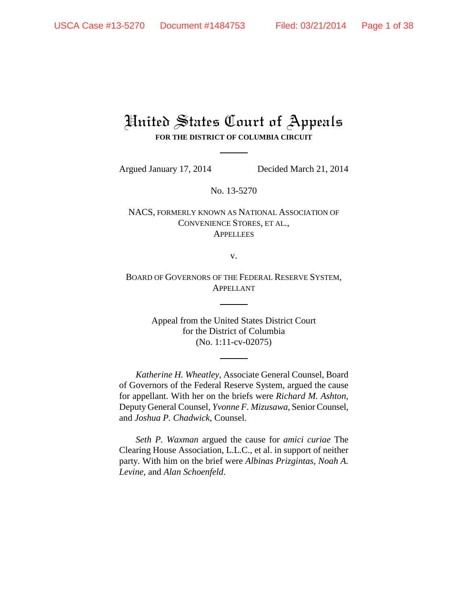# United States Court of Appeals **FOR THE DISTRICT OF COLUMBIA CIRCUIT**

Argued January 17, 2014 Decided March 21, 2014

No. 13-5270

# NACS, FORMERLY KNOWN AS NATIONAL ASSOCIATION OF CONVENIENCE STORES, ET AL., **APPELLEES**

v.

BOARD OF GOVERNORS OF THE FEDERAL RESERVE SYSTEM, APPELLANT

> Appeal from the United States District Court for the District of Columbia (No. 1:11-cv-02075)

*Katherine H. Wheatley*, Associate General Counsel, Board of Governors of the Federal Reserve System, argued the cause for appellant. With her on the briefs were *Richard M. Ashton*, Deputy General Counsel, *Yvonne F. Mizusawa*, Senior Counsel, and *Joshua P. Chadwick*, Counsel.

*Seth P. Waxman* argued the cause for *amici curiae* The Clearing House Association, L.L.C., et al. in support of neither party. With him on the brief were *Albinas Prizgintas*, *Noah A. Levine*, and *Alan Schoenfeld*.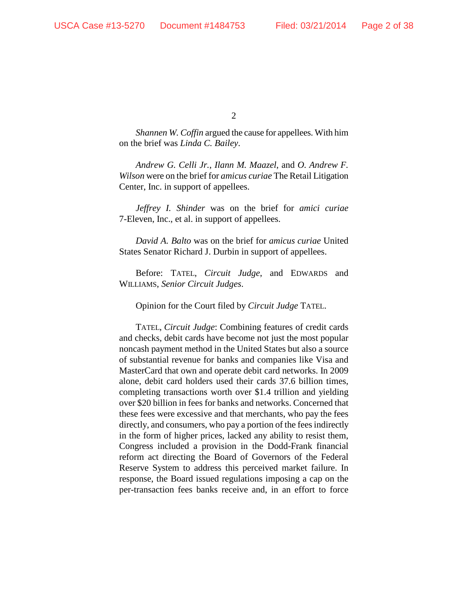*Shannen W. Coffin* argued the cause for appellees. With him on the brief was *Linda C. Bailey*.

*Andrew G. Celli Jr.*, *Ilann M. Maazel*, and *O. Andrew F. Wilson* were on the brief for *amicus curiae* The Retail Litigation Center, Inc. in support of appellees.

*Jeffrey I. Shinder* was on the brief for *amici curiae*  7-Eleven, Inc., et al. in support of appellees.

*David A. Balto* was on the brief for *amicus curiae* United States Senator Richard J. Durbin in support of appellees.

Before: TATEL, *Circuit Judge*, and EDWARDS and WILLIAMS, *Senior Circuit Judges*.

Opinion for the Court filed by *Circuit Judge* TATEL.

TATEL, *Circuit Judge*: Combining features of credit cards and checks, debit cards have become not just the most popular noncash payment method in the United States but also a source of substantial revenue for banks and companies like Visa and MasterCard that own and operate debit card networks. In 2009 alone, debit card holders used their cards 37.6 billion times, completing transactions worth over \$1.4 trillion and yielding over \$20 billion in fees for banks and networks. Concerned that these fees were excessive and that merchants, who pay the fees directly, and consumers, who pay a portion of the fees indirectly in the form of higher prices, lacked any ability to resist them, Congress included a provision in the Dodd-Frank financial reform act directing the Board of Governors of the Federal Reserve System to address this perceived market failure. In response, the Board issued regulations imposing a cap on the per-transaction fees banks receive and, in an effort to force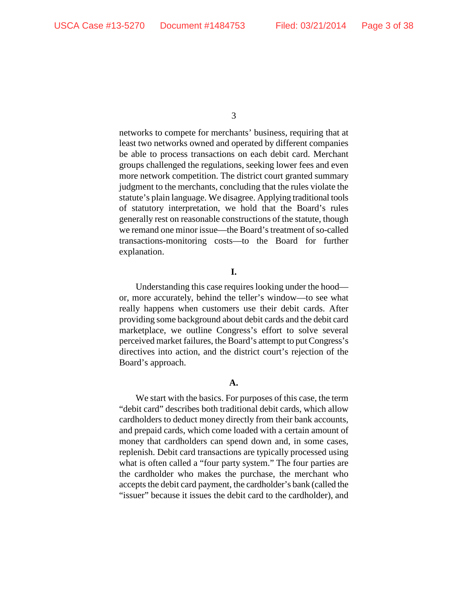networks to compete for merchants' business, requiring that at least two networks owned and operated by different companies be able to process transactions on each debit card. Merchant groups challenged the regulations, seeking lower fees and even more network competition. The district court granted summary judgment to the merchants, concluding that the rules violate the statute's plain language. We disagree. Applying traditional tools of statutory interpretation, we hold that the Board's rules generally rest on reasonable constructions of the statute, though we remand one minor issue—the Board's treatment of so-called transactions-monitoring costs—to the Board for further explanation.

### **I.**

Understanding this case requires looking under the hood or, more accurately, behind the teller's window—to see what really happens when customers use their debit cards. After providing some background about debit cards and the debit card marketplace, we outline Congress's effort to solve several perceived market failures, the Board's attempt to put Congress's directives into action, and the district court's rejection of the Board's approach.

# **A.**

We start with the basics. For purposes of this case, the term "debit card" describes both traditional debit cards, which allow cardholders to deduct money directly from their bank accounts, and prepaid cards, which come loaded with a certain amount of money that cardholders can spend down and, in some cases, replenish. Debit card transactions are typically processed using what is often called a "four party system." The four parties are the cardholder who makes the purchase, the merchant who accepts the debit card payment, the cardholder's bank (called the "issuer" because it issues the debit card to the cardholder), and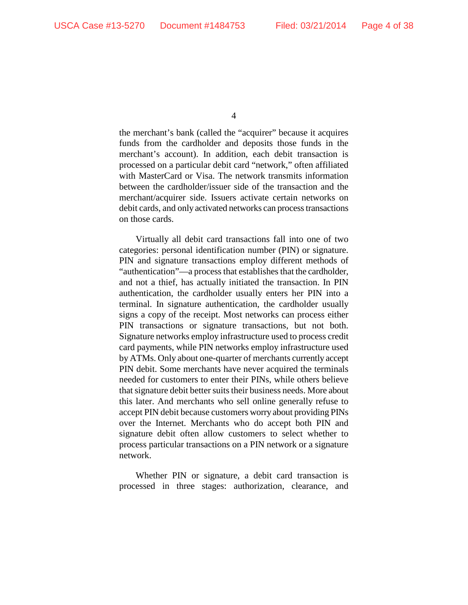the merchant's bank (called the "acquirer" because it acquires funds from the cardholder and deposits those funds in the merchant's account). In addition, each debit transaction is processed on a particular debit card "network," often affiliated with MasterCard or Visa. The network transmits information between the cardholder/issuer side of the transaction and the merchant/acquirer side. Issuers activate certain networks on debit cards, and only activated networks can process transactions on those cards.

Virtually all debit card transactions fall into one of two categories: personal identification number (PIN) or signature. PIN and signature transactions employ different methods of "authentication"—a process that establishes that the cardholder, and not a thief, has actually initiated the transaction. In PIN authentication, the cardholder usually enters her PIN into a terminal. In signature authentication, the cardholder usually signs a copy of the receipt. Most networks can process either PIN transactions or signature transactions, but not both. Signature networks employ infrastructure used to process credit card payments, while PIN networks employ infrastructure used by ATMs. Only about one-quarter of merchants currently accept PIN debit. Some merchants have never acquired the terminals needed for customers to enter their PINs, while others believe that signature debit better suits their business needs. More about this later. And merchants who sell online generally refuse to accept PIN debit because customers worry about providing PINs over the Internet. Merchants who do accept both PIN and signature debit often allow customers to select whether to process particular transactions on a PIN network or a signature network.

Whether PIN or signature, a debit card transaction is processed in three stages: authorization, clearance, and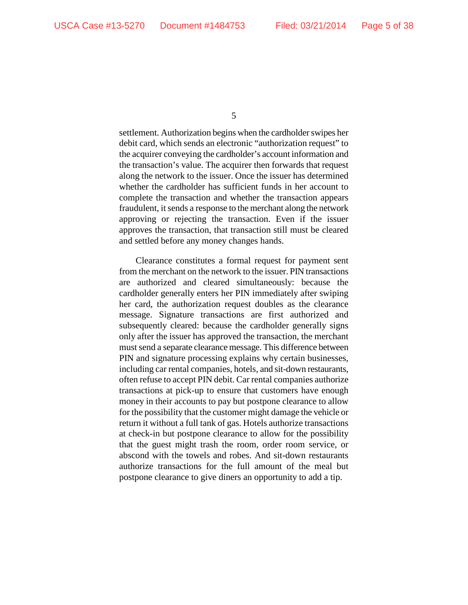settlement. Authorization begins when the cardholder swipes her debit card, which sends an electronic "authorization request" to the acquirer conveying the cardholder's account information and the transaction's value. The acquirer then forwards that request along the network to the issuer. Once the issuer has determined whether the cardholder has sufficient funds in her account to complete the transaction and whether the transaction appears fraudulent, it sends a response to the merchant along the network approving or rejecting the transaction. Even if the issuer approves the transaction, that transaction still must be cleared and settled before any money changes hands.

Clearance constitutes a formal request for payment sent from the merchant on the network to the issuer. PIN transactions are authorized and cleared simultaneously: because the cardholder generally enters her PIN immediately after swiping her card, the authorization request doubles as the clearance message. Signature transactions are first authorized and subsequently cleared: because the cardholder generally signs only after the issuer has approved the transaction, the merchant must send a separate clearance message. This difference between PIN and signature processing explains why certain businesses, including car rental companies, hotels, and sit-down restaurants, often refuse to accept PIN debit. Car rental companies authorize transactions at pick-up to ensure that customers have enough money in their accounts to pay but postpone clearance to allow for the possibility that the customer might damage the vehicle or return it without a full tank of gas. Hotels authorize transactions at check-in but postpone clearance to allow for the possibility that the guest might trash the room, order room service, or abscond with the towels and robes. And sit-down restaurants authorize transactions for the full amount of the meal but postpone clearance to give diners an opportunity to add a tip.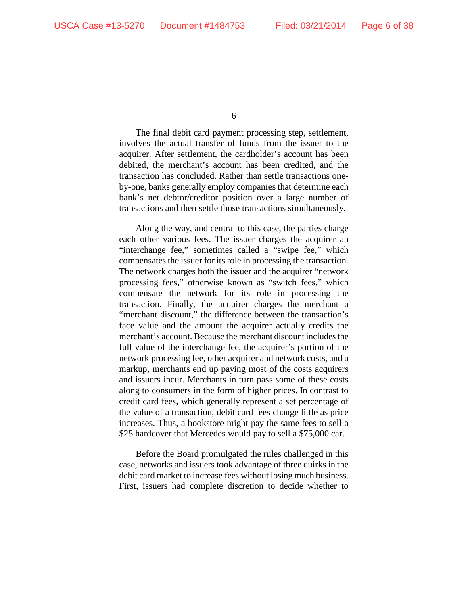The final debit card payment processing step, settlement, involves the actual transfer of funds from the issuer to the acquirer. After settlement, the cardholder's account has been debited, the merchant's account has been credited, and the transaction has concluded. Rather than settle transactions oneby-one, banks generally employ companies that determine each bank's net debtor/creditor position over a large number of transactions and then settle those transactions simultaneously.

Along the way, and central to this case, the parties charge each other various fees. The issuer charges the acquirer an "interchange fee," sometimes called a "swipe fee," which compensates the issuer for its role in processing the transaction. The network charges both the issuer and the acquirer "network processing fees," otherwise known as "switch fees," which compensate the network for its role in processing the transaction. Finally, the acquirer charges the merchant a "merchant discount," the difference between the transaction's face value and the amount the acquirer actually credits the merchant's account. Because the merchant discount includes the full value of the interchange fee, the acquirer's portion of the network processing fee, other acquirer and network costs, and a markup, merchants end up paying most of the costs acquirers and issuers incur. Merchants in turn pass some of these costs along to consumers in the form of higher prices. In contrast to credit card fees, which generally represent a set percentage of the value of a transaction, debit card fees change little as price increases. Thus, a bookstore might pay the same fees to sell a \$25 hardcover that Mercedes would pay to sell a \$75,000 car.

Before the Board promulgated the rules challenged in this case, networks and issuers took advantage of three quirks in the debit card market to increase fees without losing much business. First, issuers had complete discretion to decide whether to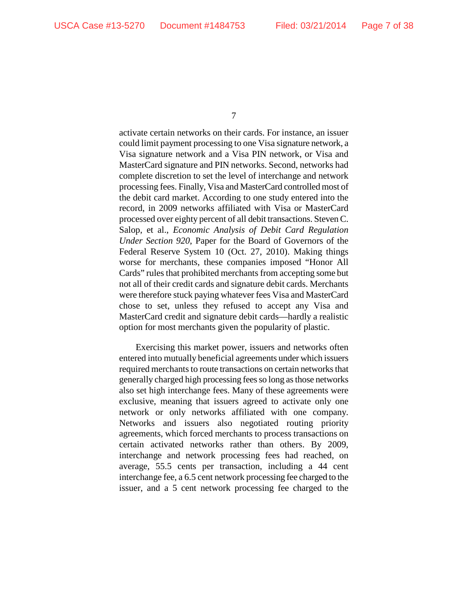activate certain networks on their cards. For instance, an issuer could limit payment processing to one Visa signature network, a Visa signature network and a Visa PIN network, or Visa and MasterCard signature and PIN networks. Second, networks had complete discretion to set the level of interchange and network processing fees. Finally, Visa and MasterCard controlled most of the debit card market. According to one study entered into the record, in 2009 networks affiliated with Visa or MasterCard processed over eighty percent of all debit transactions. Steven C. Salop, et al., *Economic Analysis of Debit Card Regulation Under Section 920*, Paper for the Board of Governors of the Federal Reserve System 10 (Oct. 27, 2010). Making things worse for merchants, these companies imposed "Honor All Cards" rules that prohibited merchants from accepting some but not all of their credit cards and signature debit cards. Merchants were therefore stuck paying whatever fees Visa and MasterCard chose to set, unless they refused to accept any Visa and MasterCard credit and signature debit cards—hardly a realistic option for most merchants given the popularity of plastic.

Exercising this market power, issuers and networks often entered into mutually beneficial agreements under which issuers required merchants to route transactions on certain networks that generally charged high processing fees so long asthose networks also set high interchange fees. Many of these agreements were exclusive, meaning that issuers agreed to activate only one network or only networks affiliated with one company. Networks and issuers also negotiated routing priority agreements, which forced merchants to process transactions on certain activated networks rather than others. By 2009, interchange and network processing fees had reached, on average, 55.5 cents per transaction, including a 44 cent interchange fee, a 6.5 cent network processing fee charged to the issuer, and a 5 cent network processing fee charged to the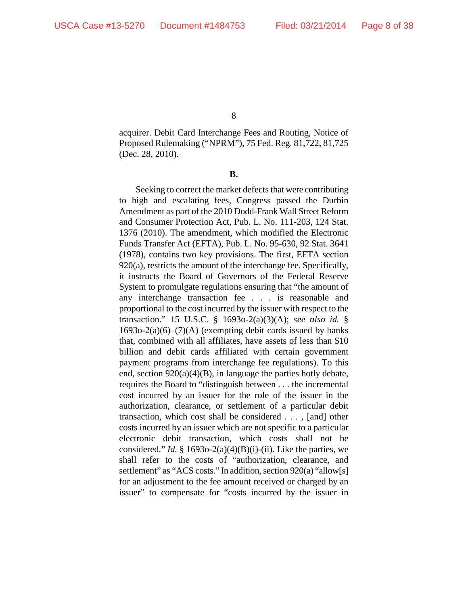acquirer. Debit Card Interchange Fees and Routing, Notice of Proposed Rulemaking ("NPRM"), 75 Fed. Reg. 81,722, 81,725 (Dec. 28, 2010).

**B.**

Seeking to correct the market defects that were contributing to high and escalating fees, Congress passed the Durbin Amendment as part of the 2010 Dodd-Frank Wall Street Reform and Consumer Protection Act, Pub. L. No. 111-203, 124 Stat. 1376 (2010). The amendment, which modified the Electronic Funds Transfer Act (EFTA), Pub. L. No. 95-630, 92 Stat. 3641 (1978), contains two key provisions. The first, EFTA section 920(a), restricts the amount of the interchange fee. Specifically, it instructs the Board of Governors of the Federal Reserve System to promulgate regulations ensuring that "the amount of any interchange transaction fee . . . is reasonable and proportional to the cost incurred by the issuer with respect to the transaction." 15 U.S.C. § 1693o-2(a)(3)(A); *see also id.* §  $1693o-2(a)(6)$ – $(7)(A)$  (exempting debit cards issued by banks that, combined with all affiliates, have assets of less than \$10 billion and debit cards affiliated with certain government payment programs from interchange fee regulations). To this end, section 920(a)(4)(B), in language the parties hotly debate, requires the Board to "distinguish between . . . the incremental cost incurred by an issuer for the role of the issuer in the authorization, clearance, or settlement of a particular debit transaction, which cost shall be considered . . . , [and] other costs incurred by an issuer which are not specific to a particular electronic debit transaction, which costs shall not be considered." *Id.* § 1693o-2(a)(4)(B)(i)-(ii). Like the parties, we shall refer to the costs of "authorization, clearance, and settlement" as "ACS costs." In addition, section 920(a) "allow[s] for an adjustment to the fee amount received or charged by an issuer" to compensate for "costs incurred by the issuer in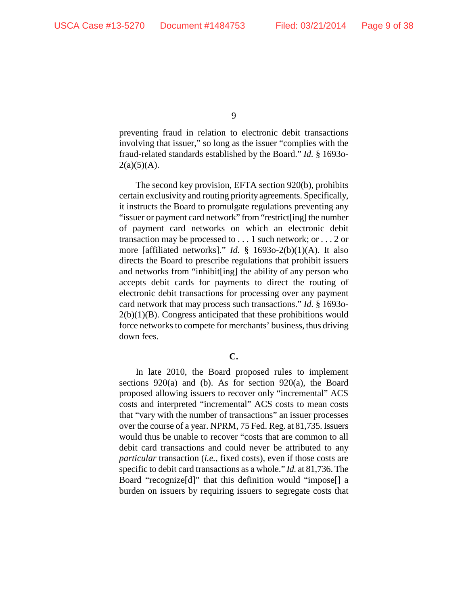preventing fraud in relation to electronic debit transactions involving that issuer," so long as the issuer "complies with the fraud-related standards established by the Board." *Id.* § 1693o- $2(a)(5)(A)$ .

The second key provision, EFTA section 920(b), prohibits certain exclusivity and routing priority agreements. Specifically, it instructs the Board to promulgate regulations preventing any "issuer or payment card network" from "restrict[ing] the number of payment card networks on which an electronic debit transaction may be processed to . . . 1 such network; or . . . 2 or more [affiliated networks]." *Id.* § 1693o-2(b)(1)(A). It also directs the Board to prescribe regulations that prohibit issuers and networks from "inhibit[ing] the ability of any person who accepts debit cards for payments to direct the routing of electronic debit transactions for processing over any payment card network that may process such transactions." *Id.* § 1693o- $2(b)(1)(B)$ . Congress anticipated that these prohibitions would force networks to compete for merchants' business, thus driving down fees.

# **C.**

In late 2010, the Board proposed rules to implement sections 920(a) and (b). As for section 920(a), the Board proposed allowing issuers to recover only "incremental" ACS costs and interpreted "incremental" ACS costs to mean costs that "vary with the number of transactions" an issuer processes over the course of a year. NPRM, 75 Fed. Reg. at 81,735. Issuers would thus be unable to recover "costs that are common to all debit card transactions and could never be attributed to any *particular* transaction (*i.e.*, fixed costs), even if those costs are specific to debit card transactions as a whole." *Id.* at 81,736. The Board "recognize[d]" that this definition would "impose[] a burden on issuers by requiring issuers to segregate costs that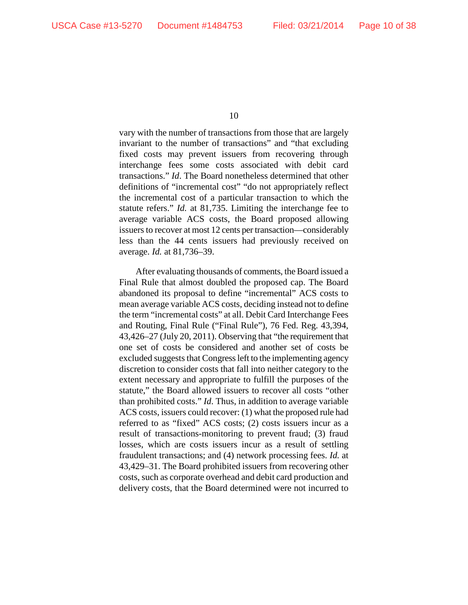vary with the number of transactions from those that are largely invariant to the number of transactions" and "that excluding fixed costs may prevent issuers from recovering through interchange fees some costs associated with debit card transactions." *Id*. The Board nonetheless determined that other definitions of "incremental cost" "do not appropriately reflect the incremental cost of a particular transaction to which the statute refers." *Id.* at 81,735. Limiting the interchange fee to average variable ACS costs, the Board proposed allowing issuers to recover at most 12 cents per transaction—considerably less than the 44 cents issuers had previously received on average. *Id.* at 81,736–39.

After evaluating thousands of comments, the Board issued a Final Rule that almost doubled the proposed cap. The Board abandoned its proposal to define "incremental" ACS costs to mean average variable ACS costs, deciding instead not to define the term "incremental costs" at all. Debit Card Interchange Fees and Routing, Final Rule ("Final Rule"), 76 Fed. Reg. 43,394, 43,426–27 (July 20, 2011). Observing that "the requirement that one set of costs be considered and another set of costs be excluded suggests that Congress left to the implementing agency discretion to consider costs that fall into neither category to the extent necessary and appropriate to fulfill the purposes of the statute," the Board allowed issuers to recover all costs "other than prohibited costs." *Id*. Thus, in addition to average variable ACS costs, issuers could recover: (1) what the proposed rule had referred to as "fixed" ACS costs; (2) costs issuers incur as a result of transactions-monitoring to prevent fraud; (3) fraud losses, which are costs issuers incur as a result of settling fraudulent transactions; and (4) network processing fees. *Id.* at 43,429–31. The Board prohibited issuers from recovering other costs, such as corporate overhead and debit card production and delivery costs, that the Board determined were not incurred to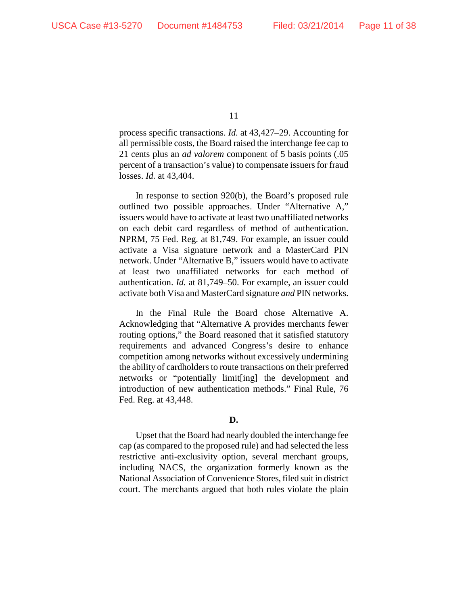process specific transactions. *Id.* at 43,427–29. Accounting for all permissible costs, the Board raised the interchange fee cap to 21 cents plus an *ad valorem* component of 5 basis points (.05 percent of a transaction's value) to compensate issuers for fraud losses. *Id.* at 43,404.

In response to section 920(b), the Board's proposed rule outlined two possible approaches. Under "Alternative A," issuers would have to activate at least two unaffiliated networks on each debit card regardless of method of authentication. NPRM, 75 Fed. Reg. at 81,749. For example, an issuer could activate a Visa signature network and a MasterCard PIN network. Under "Alternative B," issuers would have to activate at least two unaffiliated networks for each method of authentication. *Id.* at 81,749–50. For example, an issuer could activate both Visa and MasterCard signature *and* PIN networks.

In the Final Rule the Board chose Alternative A. Acknowledging that "Alternative A provides merchants fewer routing options," the Board reasoned that it satisfied statutory requirements and advanced Congress's desire to enhance competition among networks without excessively undermining the ability of cardholders to route transactions on their preferred networks or "potentially limit[ing] the development and introduction of new authentication methods." Final Rule, 76 Fed. Reg. at 43,448.

# **D.**

Upset that the Board had nearly doubled the interchange fee cap (as compared to the proposed rule) and had selected the less restrictive anti-exclusivity option, several merchant groups, including NACS, the organization formerly known as the National Association of Convenience Stores, filed suit in district court. The merchants argued that both rules violate the plain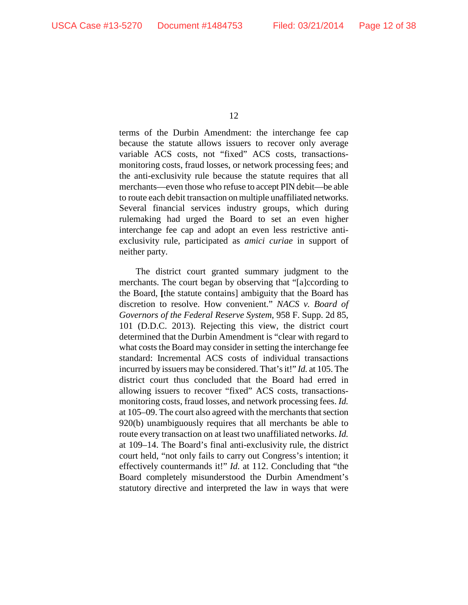terms of the Durbin Amendment: the interchange fee cap because the statute allows issuers to recover only average variable ACS costs, not "fixed" ACS costs, transactionsmonitoring costs, fraud losses, or network processing fees; and the anti-exclusivity rule because the statute requires that all merchants—even those who refuse to accept PIN debit—be able to route each debit transaction on multiple unaffiliated networks. Several financial services industry groups, which during rulemaking had urged the Board to set an even higher interchange fee cap and adopt an even less restrictive antiexclusivity rule, participated as *amici curiae* in support of neither party.

The district court granted summary judgment to the merchants. The court began by observing that "[a]ccording to the Board, **[**the statute contains] ambiguity that the Board has discretion to resolve. How convenient." *NACS v. Board of Governors of the Federal Reserve System*, 958 F. Supp. 2d 85, 101 (D.D.C. 2013). Rejecting this view, the district court determined that the Durbin Amendment is "clear with regard to what costs the Board may consider in setting the interchange fee standard: Incremental ACS costs of individual transactions incurred by issuers may be considered. That's it!" *Id.* at 105. The district court thus concluded that the Board had erred in allowing issuers to recover "fixed" ACS costs, transactionsmonitoring costs, fraud losses, and network processing fees. *Id.* at 105–09. The court also agreed with the merchants that section 920(b) unambiguously requires that all merchants be able to route every transaction on at least two unaffiliated networks. *Id.*  at 109–14. The Board's final anti-exclusivity rule, the district court held, "not only fails to carry out Congress's intention; it effectively countermands it!" *Id.* at 112. Concluding that "the Board completely misunderstood the Durbin Amendment's statutory directive and interpreted the law in ways that were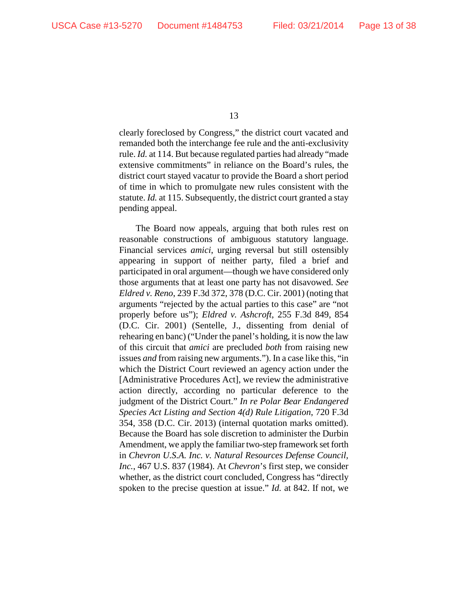clearly foreclosed by Congress," the district court vacated and remanded both the interchange fee rule and the anti-exclusivity rule. *Id.* at 114. But because regulated parties had already "made extensive commitments" in reliance on the Board's rules, the district court stayed vacatur to provide the Board a short period of time in which to promulgate new rules consistent with the statute. *Id.* at 115. Subsequently, the district court granted a stay pending appeal.

The Board now appeals, arguing that both rules rest on reasonable constructions of ambiguous statutory language. Financial services *amici*, urging reversal but still ostensibly appearing in support of neither party, filed a brief and participated in oral argument—though we have considered only those arguments that at least one party has not disavowed. *See Eldred v. Reno*, 239 F.3d 372, 378 (D.C. Cir. 2001) (noting that arguments "rejected by the actual parties to this case" are "not properly before us"); *Eldred v. Ashcroft*, 255 F.3d 849, 854 (D.C. Cir. 2001) (Sentelle, J., dissenting from denial of rehearing en banc) ("Under the panel's holding, it is now the law of this circuit that *amici* are precluded *both* from raising new issues *and* from raising new arguments."). In a case like this, "in which the District Court reviewed an agency action under the [Administrative Procedures Act], we review the administrative action directly, according no particular deference to the judgment of the District Court." *In re Polar Bear Endangered Species Act Listing and Section 4(d) Rule Litigation*, 720 F.3d 354, 358 (D.C. Cir. 2013) (internal quotation marks omitted). Because the Board has sole discretion to administer the Durbin Amendment, we apply the familiar two-step framework set forth in *Chevron U.S.A. Inc. v. Natural Resources Defense Council, Inc.*, 467 U.S. 837 (1984). At *Chevron*'s first step, we consider whether, as the district court concluded, Congress has "directly spoken to the precise question at issue." *Id.* at 842. If not, we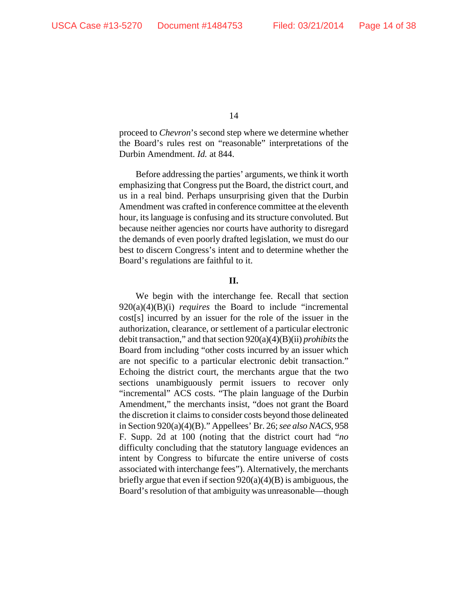proceed to *Chevron*'s second step where we determine whether the Board's rules rest on "reasonable" interpretations of the Durbin Amendment. *Id.* at 844.

Before addressing the parties' arguments, we think it worth emphasizing that Congress put the Board, the district court, and us in a real bind. Perhaps unsurprising given that the Durbin Amendment was crafted in conference committee at the eleventh hour, its language is confusing and its structure convoluted. But because neither agencies nor courts have authority to disregard the demands of even poorly drafted legislation, we must do our best to discern Congress's intent and to determine whether the Board's regulations are faithful to it.

**II.**

We begin with the interchange fee. Recall that section 920(a)(4)(B)(i) *requires* the Board to include "incremental cost[s] incurred by an issuer for the role of the issuer in the authorization, clearance, or settlement of a particular electronic debit transaction," and that section 920(a)(4)(B)(ii) *prohibits*the Board from including "other costs incurred by an issuer which are not specific to a particular electronic debit transaction." Echoing the district court, the merchants argue that the two sections unambiguously permit issuers to recover only "incremental" ACS costs. "The plain language of the Durbin Amendment," the merchants insist, "does not grant the Board the discretion it claims to consider costs beyond those delineated in Section 920(a)(4)(B)." Appellees' Br. 26; *see also NACS*, 958 F. Supp. 2d at 100 (noting that the district court had "*no*  difficulty concluding that the statutory language evidences an intent by Congress to bifurcate the entire universe of costs associated with interchange fees"). Alternatively, the merchants briefly argue that even if section  $920(a)(4)(B)$  is ambiguous, the Board's resolution of that ambiguity was unreasonable—though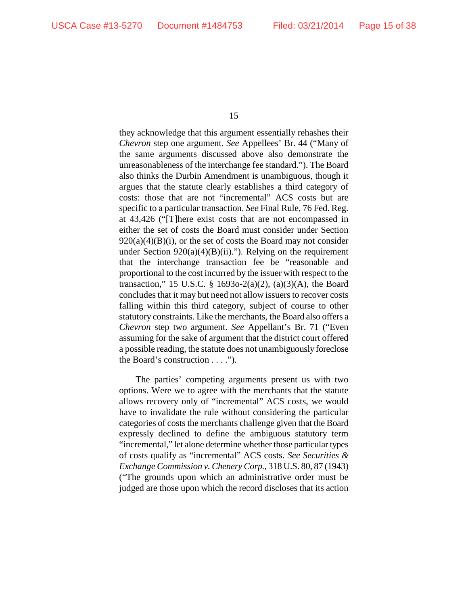they acknowledge that this argument essentially rehashes their *Chevron* step one argument. *See* Appellees' Br. 44 ("Many of the same arguments discussed above also demonstrate the unreasonableness of the interchange fee standard."). The Board also thinks the Durbin Amendment is unambiguous, though it argues that the statute clearly establishes a third category of costs: those that are not "incremental" ACS costs but are specific to a particular transaction. *See* Final Rule, 76 Fed. Reg. at 43,426 ("[T]here exist costs that are not encompassed in either the set of costs the Board must consider under Section  $920(a)(4)(B)(i)$ , or the set of costs the Board may not consider under Section  $920(a)(4)(B)(ii)$ ."). Relying on the requirement that the interchange transaction fee be "reasonable and proportional to the cost incurred by the issuer with respect to the transaction," 15 U.S.C. § 1693o-2(a)(2), (a)(3)(A), the Board concludes that it may but need not allow issuers to recover costs falling within this third category, subject of course to other statutory constraints. Like the merchants, the Board also offers a *Chevron* step two argument. *See* Appellant's Br. 71 ("Even assuming for the sake of argument that the district court offered a possible reading, the statute does not unambiguously foreclose the Board's construction . . . .").

The parties' competing arguments present us with two options. Were we to agree with the merchants that the statute allows recovery only of "incremental" ACS costs, we would have to invalidate the rule without considering the particular categories of costs the merchants challenge given that the Board expressly declined to define the ambiguous statutory term "incremental," let alone determine whether those particular types of costs qualify as "incremental" ACS costs. *See Securities & Exchange Commission v. Chenery Corp.*, 318 U.S. 80, 87 (1943) ("The grounds upon which an administrative order must be judged are those upon which the record discloses that its action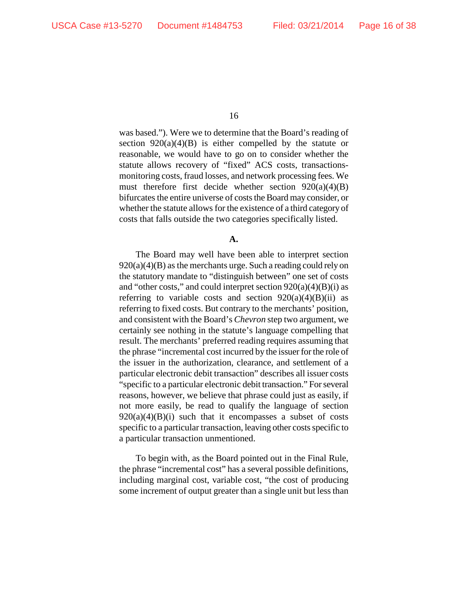was based."). Were we to determine that the Board's reading of section  $920(a)(4)(B)$  is either compelled by the statute or reasonable, we would have to go on to consider whether the statute allows recovery of "fixed" ACS costs, transactionsmonitoring costs, fraud losses, and network processing fees. We must therefore first decide whether section  $920(a)(4)(B)$ bifurcates the entire universe of costs the Board may consider, or whether the statute allows for the existence of a third category of costs that falls outside the two categories specifically listed.

**A.**

The Board may well have been able to interpret section  $920(a)(4)(B)$  as the merchants urge. Such a reading could rely on the statutory mandate to "distinguish between" one set of costs and "other costs," and could interpret section  $920(a)(4)(B)(i)$  as referring to variable costs and section  $920(a)(4)(B)(ii)$  as referring to fixed costs. But contrary to the merchants' position, and consistent with the Board's *Chevron* step two argument, we certainly see nothing in the statute's language compelling that result. The merchants' preferred reading requires assuming that the phrase "incremental cost incurred by the issuer for the role of the issuer in the authorization, clearance, and settlement of a particular electronic debit transaction" describes all issuer costs "specific to a particular electronic debit transaction." For several reasons, however, we believe that phrase could just as easily, if not more easily, be read to qualify the language of section  $920(a)(4)(B)(i)$  such that it encompasses a subset of costs specific to a particular transaction, leaving other costs specific to a particular transaction unmentioned.

To begin with, as the Board pointed out in the Final Rule, the phrase "incremental cost" has a several possible definitions, including marginal cost, variable cost, "the cost of producing some increment of output greater than a single unit but less than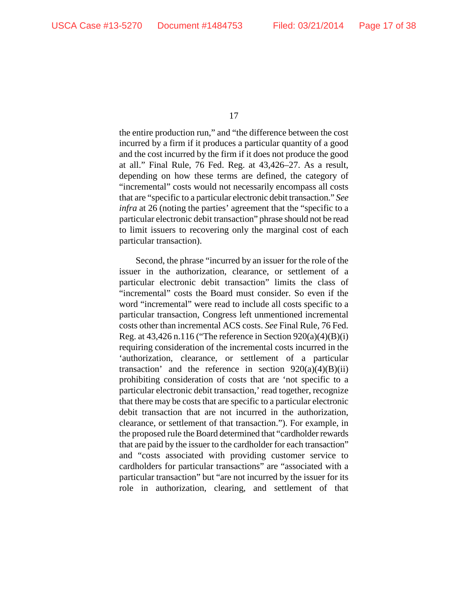the entire production run," and "the difference between the cost incurred by a firm if it produces a particular quantity of a good and the cost incurred by the firm if it does not produce the good at all." Final Rule, 76 Fed. Reg. at 43,426–27. As a result, depending on how these terms are defined, the category of "incremental" costs would not necessarily encompass all costs that are "specific to a particular electronic debit transaction." *See infra* at 26 (noting the parties' agreement that the "specific to a particular electronic debit transaction" phrase should not be read to limit issuers to recovering only the marginal cost of each particular transaction).

Second, the phrase "incurred by an issuer for the role of the issuer in the authorization, clearance, or settlement of a particular electronic debit transaction" limits the class of "incremental" costs the Board must consider. So even if the word "incremental" were read to include all costs specific to a particular transaction, Congress left unmentioned incremental costs other than incremental ACS costs. *See* Final Rule, 76 Fed. Reg. at  $43,426$  n.116 ("The reference in Section  $920(a)(4)(B)(i)$ requiring consideration of the incremental costs incurred in the 'authorization, clearance, or settlement of a particular transaction' and the reference in section  $920(a)(4)(B)(ii)$ prohibiting consideration of costs that are 'not specific to a particular electronic debit transaction,' read together, recognize that there may be costs that are specific to a particular electronic debit transaction that are not incurred in the authorization, clearance, or settlement of that transaction."). For example, in the proposed rule the Board determined that "cardholder rewards that are paid by the issuer to the cardholder for each transaction" and "costs associated with providing customer service to cardholders for particular transactions" are "associated with a particular transaction" but "are not incurred by the issuer for its role in authorization, clearing, and settlement of that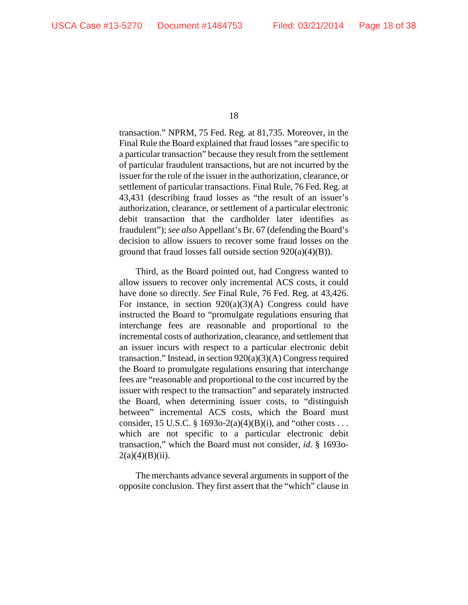transaction." NPRM, 75 Fed. Reg. at 81,735. Moreover, in the Final Rule the Board explained that fraud losses "are specific to a particular transaction" because they result from the settlement of particular fraudulent transactions, but are not incurred by the issuer for the role of the issuer in the authorization, clearance, or settlement of particular transactions. Final Rule, 76 Fed. Reg. at 43,431 (describing fraud losses as "the result of an issuer's authorization, clearance, or settlement of a particular electronic debit transaction that the cardholder later identifies as fraudulent"); *see also* Appellant's Br. 67 (defending the Board's decision to allow issuers to recover some fraud losses on the ground that fraud losses fall outside section 920(a)(4)(B)).

Third, as the Board pointed out, had Congress wanted to allow issuers to recover only incremental ACS costs, it could have done so directly. *See* Final Rule, 76 Fed. Reg. at 43,426. For instance, in section  $920(a)(3)(A)$  Congress could have instructed the Board to "promulgate regulations ensuring that interchange fees are reasonable and proportional to the incremental costs of authorization, clearance, and settlement that an issuer incurs with respect to a particular electronic debit transaction." Instead, in section 920(a)(3)(A) Congress required the Board to promulgate regulations ensuring that interchange fees are "reasonable and proportional to the cost incurred by the issuer with respect to the transaction" and separately instructed the Board, when determining issuer costs, to "distinguish between" incremental ACS costs, which the Board must consider, 15 U.S.C. § 1693o-2(a)(4)(B)(i), and "other costs . . . which are not specific to a particular electronic debit transaction," which the Board must not consider, *id.* § 1693o- $2(a)(4)(B)(ii)$ .

The merchants advance several arguments in support of the opposite conclusion. They first assert that the "which" clause in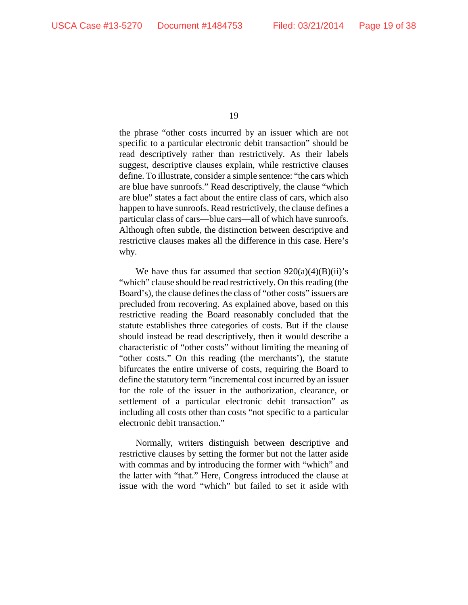the phrase "other costs incurred by an issuer which are not specific to a particular electronic debit transaction" should be read descriptively rather than restrictively. As their labels suggest, descriptive clauses explain, while restrictive clauses define. To illustrate, consider a simple sentence: "the cars which are blue have sunroofs." Read descriptively, the clause "which are blue" states a fact about the entire class of cars, which also happen to have sunroofs. Read restrictively, the clause defines a particular class of cars—blue cars—all of which have sunroofs. Although often subtle, the distinction between descriptive and restrictive clauses makes all the difference in this case. Here's why.

We have thus far assumed that section  $920(a)(4)(B)(ii)$ 's "which" clause should be read restrictively. On this reading (the Board's), the clause defines the class of "other costs" issuers are precluded from recovering. As explained above, based on this restrictive reading the Board reasonably concluded that the statute establishes three categories of costs. But if the clause should instead be read descriptively, then it would describe a characteristic of "other costs" without limiting the meaning of "other costs." On this reading (the merchants'), the statute bifurcates the entire universe of costs, requiring the Board to define the statutory term "incremental cost incurred by an issuer for the role of the issuer in the authorization, clearance, or settlement of a particular electronic debit transaction" as including all costs other than costs "not specific to a particular electronic debit transaction."

Normally, writers distinguish between descriptive and restrictive clauses by setting the former but not the latter aside with commas and by introducing the former with "which" and the latter with "that." Here, Congress introduced the clause at issue with the word "which" but failed to set it aside with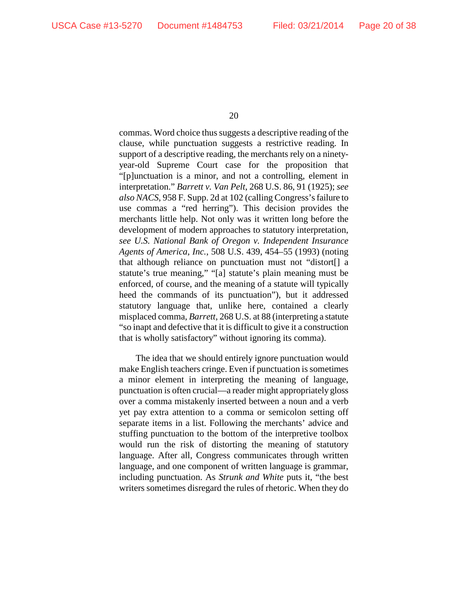commas. Word choice thus suggests a descriptive reading of the clause, while punctuation suggests a restrictive reading. In support of a descriptive reading, the merchants rely on a ninetyyear-old Supreme Court case for the proposition that "[p]unctuation is a minor, and not a controlling, element in interpretation." *Barrett v. Van Pelt*, 268 U.S. 86, 91 (1925); *see also NACS*, 958 F. Supp. 2d at 102 (calling Congress's failure to use commas a "red herring"). This decision provides the merchants little help. Not only was it written long before the development of modern approaches to statutory interpretation, *see U.S. National Bank of Oregon v. Independent Insurance Agents of America, Inc.*, 508 U.S. 439, 454–55 (1993) (noting that although reliance on punctuation must not "distort[] a statute's true meaning," "[a] statute's plain meaning must be enforced, of course, and the meaning of a statute will typically heed the commands of its punctuation"), but it addressed statutory language that, unlike here, contained a clearly misplaced comma, *Barrett*, 268 U.S. at 88 (interpreting a statute "so inapt and defective that it is difficult to give it a construction that is wholly satisfactory" without ignoring its comma).

The idea that we should entirely ignore punctuation would make English teachers cringe. Even if punctuation is sometimes a minor element in interpreting the meaning of language, punctuation is often crucial—a reader might appropriately gloss over a comma mistakenly inserted between a noun and a verb yet pay extra attention to a comma or semicolon setting off separate items in a list. Following the merchants' advice and stuffing punctuation to the bottom of the interpretive toolbox would run the risk of distorting the meaning of statutory language. After all, Congress communicates through written language, and one component of written language is grammar, including punctuation. As *Strunk and White* puts it, "the best writers sometimes disregard the rules of rhetoric. When they do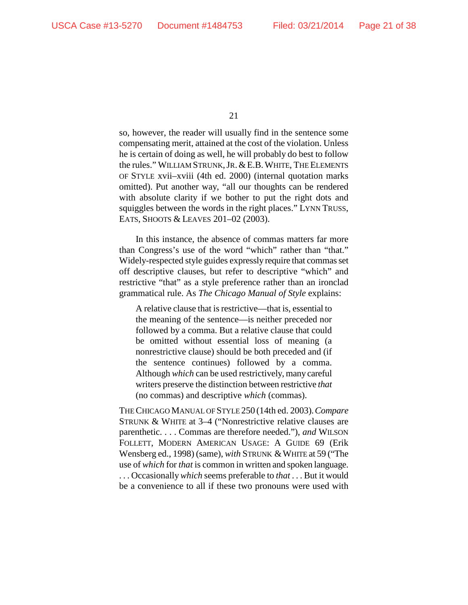so, however, the reader will usually find in the sentence some compensating merit, attained at the cost of the violation. Unless he is certain of doing as well, he will probably do best to follow the rules." WILLIAM STRUNK,JR.&E.B.WHITE, THE ELEMENTS OF STYLE xvii–xviii (4th ed. 2000) (internal quotation marks omitted). Put another way, "all our thoughts can be rendered with absolute clarity if we bother to put the right dots and squiggles between the words in the right places." LYNN TRUSS, EATS, SHOOTS & LEAVES 201–02 (2003).

In this instance, the absence of commas matters far more than Congress's use of the word "which" rather than "that." Widely-respected style guides expressly require that commas set off descriptive clauses, but refer to descriptive "which" and restrictive "that" as a style preference rather than an ironclad grammatical rule. As *The Chicago Manual of Style* explains:

A relative clause that is restrictive—that is, essential to the meaning of the sentence—is neither preceded nor followed by a comma. But a relative clause that could be omitted without essential loss of meaning (a nonrestrictive clause) should be both preceded and (if the sentence continues) followed by a comma. Although *which* can be used restrictively, many careful writers preserve the distinction between restrictive *that* (no commas) and descriptive *which* (commas).

THE CHICAGO MANUAL OF STYLE 250 (14th ed. 2003).*Compare*  STRUNK & WHITE at 3–4 ("Nonrestrictive relative clauses are parenthetic. . . . Commas are therefore needed."), *and* WILSON FOLLETT, MODERN AMERICAN USAGE: A GUIDE 69 (Erik Wensberg ed., 1998) (same), *with* STRUNK & WHITE at 59 ("The use of *which* for *that* is common in written and spoken language. . . . Occasionally *which* seems preferable to *that* . . . But it would be a convenience to all if these two pronouns were used with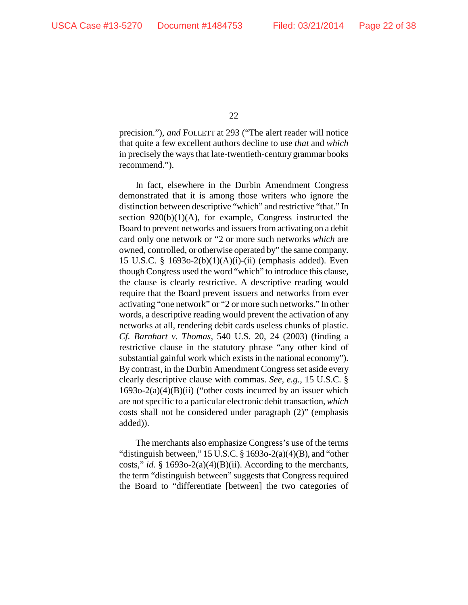precision."), *and* FOLLETT at 293 ("The alert reader will notice that quite a few excellent authors decline to use *that* and *which* in precisely the ways that late-twentieth-century grammar books recommend.").

In fact, elsewhere in the Durbin Amendment Congress demonstrated that it is among those writers who ignore the distinction between descriptive "which" and restrictive "that." In section  $920(b)(1)(A)$ , for example, Congress instructed the Board to prevent networks and issuers from activating on a debit card only one network or "2 or more such networks *which* are owned, controlled, or otherwise operated by" the same company. 15 U.S.C. § 1693o-2(b)(1)(A)(i)-(ii) (emphasis added). Even though Congress used the word "which" to introduce this clause, the clause is clearly restrictive. A descriptive reading would require that the Board prevent issuers and networks from ever activating "one network" or "2 or more such networks." In other words, a descriptive reading would prevent the activation of any networks at all, rendering debit cards useless chunks of plastic. *Cf. Barnhart v. Thomas*, 540 U.S. 20, 24 (2003) (finding a restrictive clause in the statutory phrase "any other kind of substantial gainful work which exists in the national economy"). By contrast, in the Durbin Amendment Congress set aside every clearly descriptive clause with commas. *See, e.g.*, 15 U.S.C. §  $1693o-2(a)(4)(B)(ii)$  ("other costs incurred by an issuer which are not specific to a particular electronic debit transaction*, which* costs shall not be considered under paragraph (2)" (emphasis added)).

The merchants also emphasize Congress's use of the terms "distinguish between," 15 U.S.C. § 1693o-2(a)(4)(B), and "other costs," *id.* § 1693o-2(a)(4)(B)(ii). According to the merchants, the term "distinguish between" suggests that Congress required the Board to "differentiate [between] the two categories of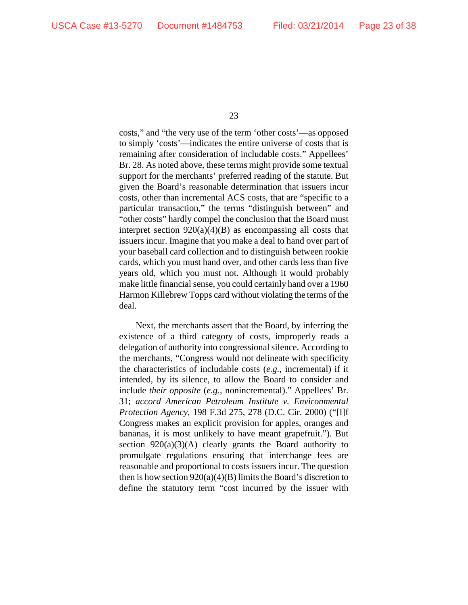costs," and "the very use of the term 'other costs'—as opposed to simply 'costs'—indicates the entire universe of costs that is remaining after consideration of includable costs." Appellees' Br. 28. As noted above, these terms might provide some textual support for the merchants' preferred reading of the statute. But given the Board's reasonable determination that issuers incur costs, other than incremental ACS costs, that are "specific to a particular transaction," the terms "distinguish between" and "other costs" hardly compel the conclusion that the Board must interpret section  $920(a)(4)(B)$  as encompassing all costs that issuers incur. Imagine that you make a deal to hand over part of your baseball card collection and to distinguish between rookie cards, which you must hand over, and other cards less than five years old, which you must not. Although it would probably make little financial sense, you could certainly hand over a 1960 Harmon Killebrew Topps card without violating the terms of the deal.

Next, the merchants assert that the Board, by inferring the existence of a third category of costs, improperly reads a delegation of authority into congressional silence. According to the merchants, "Congress would not delineate with specificity the characteristics of includable costs (*e.g.*, incremental) if it intended, by its silence, to allow the Board to consider and include *their opposite* (*e.g.*, nonincremental)." Appellees' Br. 31; *accord American Petroleum Institute v. Environmental Protection Agency*, 198 F.3d 275, 278 (D.C. Cir. 2000) ("[I]f Congress makes an explicit provision for apples, oranges and bananas, it is most unlikely to have meant grapefruit."). But section  $920(a)(3)(A)$  clearly grants the Board authority to promulgate regulations ensuring that interchange fees are reasonable and proportional to costs issuers incur. The question then is how section  $920(a)(4)(B)$  limits the Board's discretion to define the statutory term "cost incurred by the issuer with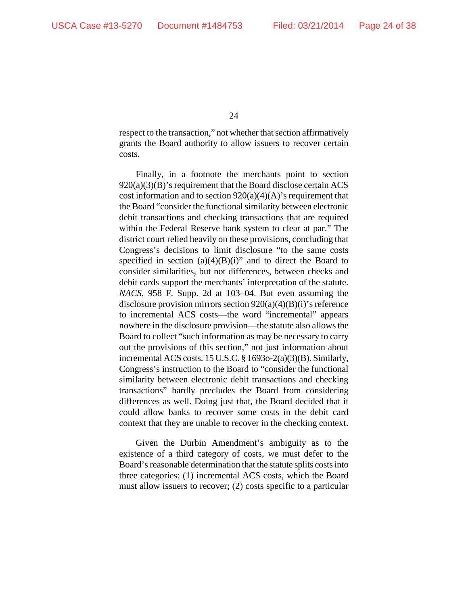respect to the transaction," not whether that section affirmatively grants the Board authority to allow issuers to recover certain costs.

Finally, in a footnote the merchants point to section 920(a)(3)(B)'s requirement that the Board disclose certain ACS cost information and to section  $920(a)(4)(A)$ 's requirement that the Board "consider the functional similarity between electronic debit transactions and checking transactions that are required within the Federal Reserve bank system to clear at par." The district court relied heavily on these provisions, concluding that Congress's decisions to limit disclosure "to the same costs specified in section  $(a)(4)(B)(i)$ " and to direct the Board to consider similarities, but not differences, between checks and debit cards support the merchants' interpretation of the statute. *NACS*, 958 F. Supp. 2d at 103–04. But even assuming the disclosure provision mirrors section 920(a)(4)(B)(i)'s reference to incremental ACS costs—the word "incremental" appears nowhere in the disclosure provision—the statute also allows the Board to collect "such information as may be necessary to carry out the provisions of this section," not just information about incremental ACS costs. 15 U.S.C. § 1693o-2(a)(3)(B). Similarly, Congress's instruction to the Board to "consider the functional similarity between electronic debit transactions and checking transactions" hardly precludes the Board from considering differences as well. Doing just that, the Board decided that it could allow banks to recover some costs in the debit card context that they are unable to recover in the checking context.

Given the Durbin Amendment's ambiguity as to the existence of a third category of costs, we must defer to the Board's reasonable determination that the statute splits costs into three categories: (1) incremental ACS costs, which the Board must allow issuers to recover; (2) costs specific to a particular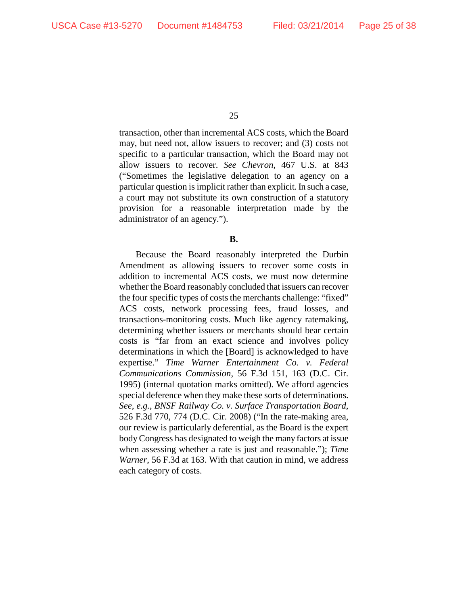transaction, other than incremental ACS costs, which the Board may, but need not, allow issuers to recover; and (3) costs not specific to a particular transaction, which the Board may not allow issuers to recover. *See Chevron*, 467 U.S. at 843 ("Sometimes the legislative delegation to an agency on a particular question is implicit rather than explicit. In such a case, a court may not substitute its own construction of a statutory provision for a reasonable interpretation made by the administrator of an agency.").

### **B.**

Because the Board reasonably interpreted the Durbin Amendment as allowing issuers to recover some costs in addition to incremental ACS costs, we must now determine whether the Board reasonably concluded that issuers can recover the four specific types of costs the merchants challenge: "fixed" ACS costs, network processing fees, fraud losses, and transactions-monitoring costs. Much like agency ratemaking, determining whether issuers or merchants should bear certain costs is "far from an exact science and involves policy determinations in which the [Board] is acknowledged to have expertise." *Time Warner Entertainment Co. v. Federal Communications Commission*, 56 F.3d 151, 163 (D.C. Cir. 1995) (internal quotation marks omitted). We afford agencies special deference when they make these sorts of determinations. *See, e.g.*, *BNSF Railway Co. v. Surface Transportation Board*, 526 F.3d 770, 774 (D.C. Cir. 2008) ("In the rate-making area, our review is particularly deferential, as the Board is the expert body Congress has designated to weigh the many factors at issue when assessing whether a rate is just and reasonable."); *Time Warner*, 56 F.3d at 163. With that caution in mind, we address each category of costs.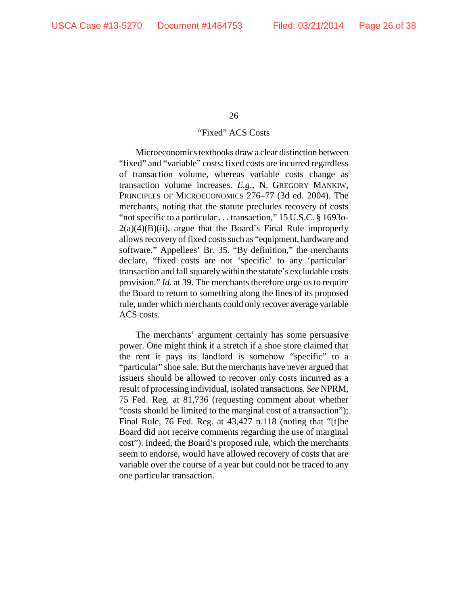# "Fixed" ACS Costs

Microeconomics textbooks draw a clear distinction between "fixed" and "variable" costs: fixed costs are incurred regardless of transaction volume, whereas variable costs change as transaction volume increases. *E.g.*, N. GREGORY MANKIW, PRINCIPLES OF MICROECONOMICS 276–77 (3d ed. 2004). The merchants, noting that the statute precludes recovery of costs "not specific to a particular . . . transaction," 15 U.S.C. § 16930- $2(a)(4)(B)(ii)$ , argue that the Board's Final Rule improperly allows recovery of fixed costs such as "equipment, hardware and software." Appellees' Br. 35. "By definition," the merchants declare, "fixed costs are not 'specific' to any 'particular' transaction and fall squarely within the statute's excludable costs provision." *Id.* at 39. The merchants therefore urge us to require the Board to return to something along the lines of its proposed rule, under which merchants could only recover average variable ACS costs.

The merchants' argument certainly has some persuasive power. One might think it a stretch if a shoe store claimed that the rent it pays its landlord is somehow "specific" to a "particular" shoe sale. But the merchants have never argued that issuers should be allowed to recover only costs incurred as a result of processing individual, isolated transactions. *See* NPRM, 75 Fed. Reg. at 81,736 (requesting comment about whether "costs should be limited to the marginal cost of a transaction"); Final Rule, 76 Fed. Reg. at 43,427 n.118 (noting that "[t]he Board did not receive comments regarding the use of marginal cost"). Indeed, the Board's proposed rule, which the merchants seem to endorse, would have allowed recovery of costs that are variable over the course of a year but could not be traced to any one particular transaction.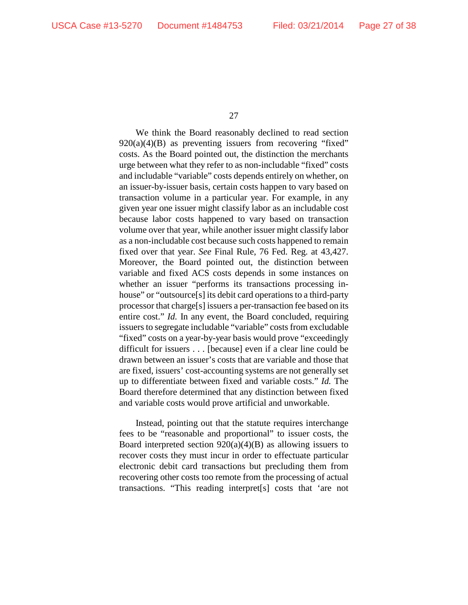We think the Board reasonably declined to read section  $920(a)(4)(B)$  as preventing issuers from recovering "fixed" costs. As the Board pointed out, the distinction the merchants urge between what they refer to as non-includable "fixed" costs and includable "variable" costs depends entirely on whether, on an issuer-by-issuer basis, certain costs happen to vary based on transaction volume in a particular year. For example, in any given year one issuer might classify labor as an includable cost because labor costs happened to vary based on transaction volume over that year, while another issuer might classify labor as a non-includable cost because such costs happened to remain fixed over that year. *See* Final Rule, 76 Fed. Reg. at 43,427. Moreover, the Board pointed out, the distinction between variable and fixed ACS costs depends in some instances on whether an issuer "performs its transactions processing inhouse" or "outsource<sup>[s]</sup> its debit card operations to a third-party processor that charge[s] issuers a per-transaction fee based on its entire cost." *Id.* In any event, the Board concluded, requiring issuers to segregate includable "variable" costs from excludable "fixed" costs on a year-by-year basis would prove "exceedingly difficult for issuers . . . [because] even if a clear line could be drawn between an issuer's costs that are variable and those that are fixed, issuers' cost-accounting systems are not generally set up to differentiate between fixed and variable costs." *Id.* The Board therefore determined that any distinction between fixed and variable costs would prove artificial and unworkable.

Instead, pointing out that the statute requires interchange fees to be "reasonable and proportional" to issuer costs, the Board interpreted section  $920(a)(4)(B)$  as allowing issuers to recover costs they must incur in order to effectuate particular electronic debit card transactions but precluding them from recovering other costs too remote from the processing of actual transactions. "This reading interpret[s] costs that 'are not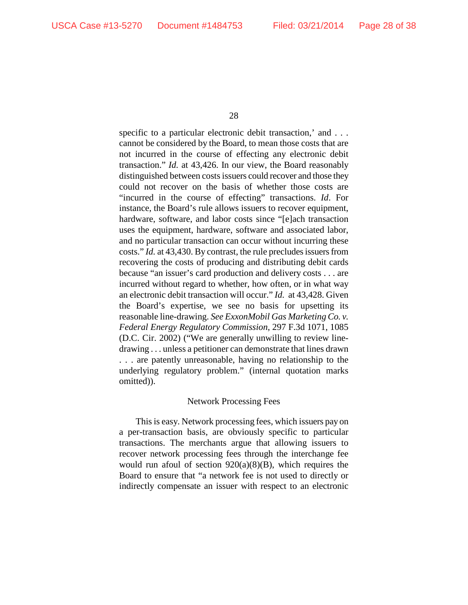specific to a particular electronic debit transaction,' and . . . cannot be considered by the Board, to mean those costs that are not incurred in the course of effecting any electronic debit transaction." *Id.* at 43,426. In our view, the Board reasonably distinguished between costs issuers could recover and those they could not recover on the basis of whether those costs are "incurred in the course of effecting" transactions. *Id*. For instance, the Board's rule allows issuers to recover equipment, hardware, software, and labor costs since "[e]ach transaction uses the equipment, hardware, software and associated labor, and no particular transaction can occur without incurring these costs." *Id.* at 43,430. By contrast, the rule precludes issuers from recovering the costs of producing and distributing debit cards because "an issuer's card production and delivery costs . . . are incurred without regard to whether, how often, or in what way an electronic debit transaction will occur." *Id.* at 43,428. Given the Board's expertise, we see no basis for upsetting its reasonable line-drawing. *See ExxonMobil Gas Marketing Co. v. Federal Energy Regulatory Commission*, 297 F.3d 1071, 1085 (D.C. Cir. 2002) ("We are generally unwilling to review linedrawing . . . unless a petitioner can demonstrate that lines drawn . . . are patently unreasonable, having no relationship to the underlying regulatory problem." (internal quotation marks omitted)).

### Network Processing Fees

This is easy. Network processing fees, which issuers pay on a per-transaction basis, are obviously specific to particular transactions. The merchants argue that allowing issuers to recover network processing fees through the interchange fee would run afoul of section  $920(a)(8)(B)$ , which requires the Board to ensure that "a network fee is not used to directly or indirectly compensate an issuer with respect to an electronic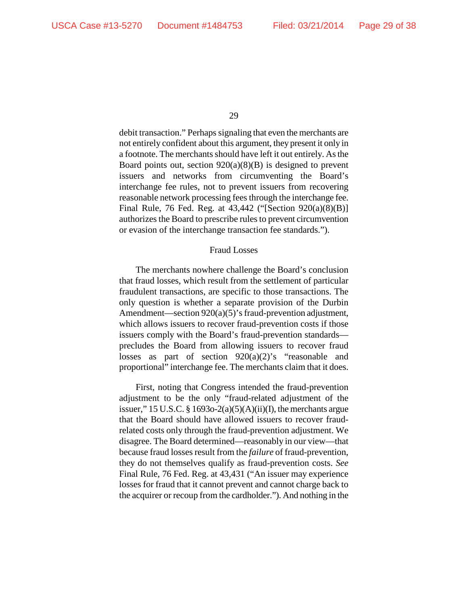debit transaction." Perhaps signaling that even the merchants are not entirely confident about this argument, they present it only in a footnote. The merchants should have left it out entirely. As the Board points out, section  $920(a)(8)(B)$  is designed to prevent issuers and networks from circumventing the Board's interchange fee rules, not to prevent issuers from recovering reasonable network processing fees through the interchange fee. Final Rule, 76 Fed. Reg. at 43,442 ("[Section 920(a)(8)(B)] authorizes the Board to prescribe rules to prevent circumvention or evasion of the interchange transaction fee standards.").

#### Fraud Losses

The merchants nowhere challenge the Board's conclusion that fraud losses, which result from the settlement of particular fraudulent transactions, are specific to those transactions. The only question is whether a separate provision of the Durbin Amendment—section 920(a)(5)'s fraud-prevention adjustment, which allows issuers to recover fraud-prevention costs if those issuers comply with the Board's fraud-prevention standards precludes the Board from allowing issuers to recover fraud losses as part of section 920(a)(2)'s "reasonable and proportional" interchange fee. The merchants claim that it does.

First, noting that Congress intended the fraud-prevention adjustment to be the only "fraud-related adjustment of the issuer," 15 U.S.C. § 1693o-2(a)(5)(A)(ii)(I), the merchants argue that the Board should have allowed issuers to recover fraudrelated costs only through the fraud-prevention adjustment. We disagree. The Board determined—reasonably in our view—that because fraud losses result from the *failure* of fraud-prevention, they do not themselves qualify as fraud-prevention costs. *See*  Final Rule, 76 Fed. Reg. at 43,431 ("An issuer may experience losses for fraud that it cannot prevent and cannot charge back to the acquirer or recoup from the cardholder."). And nothing in the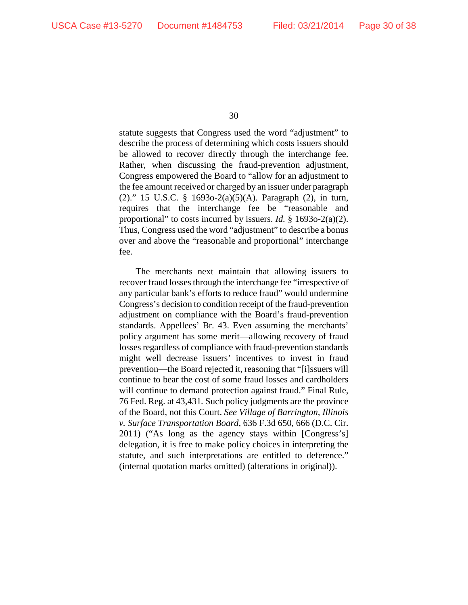statute suggests that Congress used the word "adjustment" to describe the process of determining which costs issuers should be allowed to recover directly through the interchange fee. Rather, when discussing the fraud-prevention adjustment, Congress empowered the Board to "allow for an adjustment to the fee amount received or charged by an issuer under paragraph (2)." 15 U.S.C. § 1693o-2(a)(5)(A). Paragraph (2), in turn, requires that the interchange fee be "reasonable and proportional" to costs incurred by issuers. *Id.* § 1693o-2(a)(2). Thus, Congress used the word "adjustment" to describe a bonus over and above the "reasonable and proportional" interchange fee.

The merchants next maintain that allowing issuers to recover fraud losses through the interchange fee "irrespective of any particular bank's efforts to reduce fraud" would undermine Congress's decision to condition receipt of the fraud-prevention adjustment on compliance with the Board's fraud-prevention standards. Appellees' Br. 43. Even assuming the merchants' policy argument has some merit—allowing recovery of fraud losses regardless of compliance with fraud-prevention standards might well decrease issuers' incentives to invest in fraud prevention—the Board rejected it, reasoning that "[i]ssuers will continue to bear the cost of some fraud losses and cardholders will continue to demand protection against fraud." Final Rule, 76 Fed. Reg. at 43,431*.* Such policy judgments are the province of the Board, not this Court. *See Village of Barrington, Illinois v. Surface Transportation Board*, 636 F.3d 650, 666 (D.C. Cir. 2011) ("As long as the agency stays within [Congress's] delegation, it is free to make policy choices in interpreting the statute, and such interpretations are entitled to deference." (internal quotation marks omitted) (alterations in original)).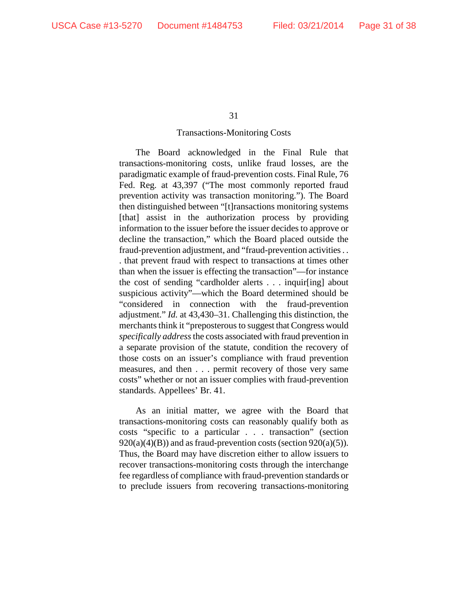#### Transactions-Monitoring Costs

The Board acknowledged in the Final Rule that transactions-monitoring costs, unlike fraud losses, are the paradigmatic example of fraud-prevention costs. Final Rule, 76 Fed. Reg. at 43,397 ("The most commonly reported fraud prevention activity was transaction monitoring."). The Board then distinguished between "[t]ransactions monitoring systems [that] assist in the authorization process by providing information to the issuer before the issuer decides to approve or decline the transaction," which the Board placed outside the fraud-prevention adjustment, and "fraud-prevention activities . . . that prevent fraud with respect to transactions at times other than when the issuer is effecting the transaction"—for instance the cost of sending "cardholder alerts . . . inquir[ing] about suspicious activity"—which the Board determined should be "considered in connection with the fraud-prevention adjustment." *Id.* at 43,430–31. Challenging this distinction, the merchants think it "preposterous to suggest that Congress would *specifically address*the costs associated with fraud prevention in a separate provision of the statute, condition the recovery of those costs on an issuer's compliance with fraud prevention measures, and then . . . permit recovery of those very same costs" whether or not an issuer complies with fraud-prevention standards. Appellees' Br. 41.

As an initial matter, we agree with the Board that transactions-monitoring costs can reasonably qualify both as costs "specific to a particular . . . transaction" (section  $920(a)(4)(B)$  and as fraud-prevention costs (section  $920(a)(5)$ ). Thus, the Board may have discretion either to allow issuers to recover transactions-monitoring costs through the interchange fee regardless of compliance with fraud-prevention standards or to preclude issuers from recovering transactions-monitoring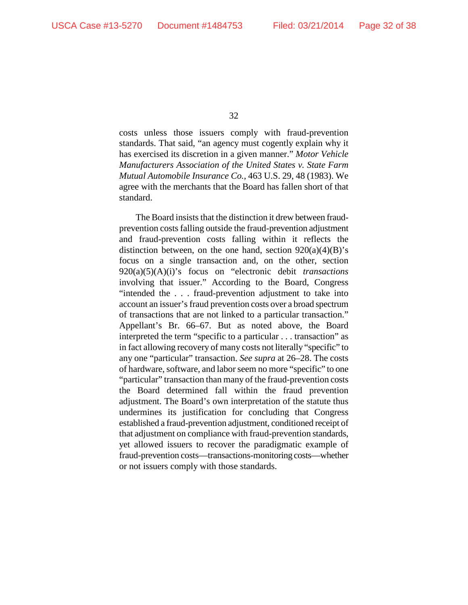costs unless those issuers comply with fraud-prevention standards. That said, "an agency must cogently explain why it has exercised its discretion in a given manner." *Motor Vehicle Manufacturers Association of the United States v. State Farm Mutual Automobile Insurance Co.*, 463 U.S. 29, 48 (1983). We agree with the merchants that the Board has fallen short of that standard.

The Board insists that the distinction it drew between fraudprevention costs falling outside the fraud-prevention adjustment and fraud-prevention costs falling within it reflects the distinction between, on the one hand, section  $920(a)(4)(B)$ 's focus on a single transaction and, on the other, section 920(a)(5)(A)(i)'s focus on "electronic debit *transactions* involving that issuer." According to the Board, Congress "intended the . . . fraud-prevention adjustment to take into account an issuer's fraud prevention costs over a broad spectrum of transactions that are not linked to a particular transaction." Appellant's Br. 66–67. But as noted above, the Board interpreted the term "specific to a particular . . . transaction" as in fact allowing recovery of many costs not literally "specific" to any one "particular" transaction. *See supra* at 26–28. The costs of hardware, software, and labor seem no more "specific" to one "particular" transaction than many of the fraud-prevention costs the Board determined fall within the fraud prevention adjustment. The Board's own interpretation of the statute thus undermines its justification for concluding that Congress established a fraud-prevention adjustment, conditioned receipt of that adjustment on compliance with fraud-prevention standards, yet allowed issuers to recover the paradigmatic example of fraud-prevention costs—transactions-monitoring costs—whether or not issuers comply with those standards.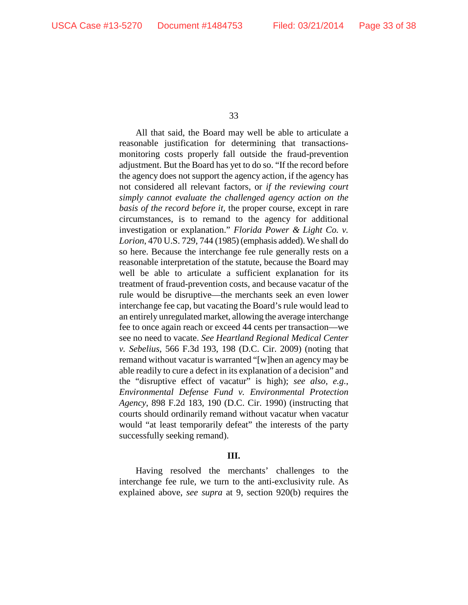All that said, the Board may well be able to articulate a reasonable justification for determining that transactionsmonitoring costs properly fall outside the fraud-prevention adjustment. But the Board has yet to do so. "If the record before the agency does not support the agency action, if the agency has not considered all relevant factors, or *if the reviewing court simply cannot evaluate the challenged agency action on the basis of the record before it,* the proper course, except in rare circumstances, is to remand to the agency for additional investigation or explanation." *Florida Power & Light Co. v. Lorion*, 470 U.S. 729, 744 (1985) (emphasis added). We shall do so here. Because the interchange fee rule generally rests on a reasonable interpretation of the statute, because the Board may well be able to articulate a sufficient explanation for its treatment of fraud-prevention costs, and because vacatur of the rule would be disruptive—the merchants seek an even lower interchange fee cap, but vacating the Board's rule would lead to an entirely unregulated market, allowing the average interchange fee to once again reach or exceed 44 cents per transaction—we see no need to vacate. *See Heartland Regional Medical Center v. Sebelius*, 566 F.3d 193, 198 (D.C. Cir. 2009) (noting that remand without vacatur is warranted "[w]hen an agency may be able readily to cure a defect in its explanation of a decision" and the "disruptive effect of vacatur" is high); *see also, e.g.*, *Environmental Defense Fund v. Environmental Protection Agency*, 898 F.2d 183, 190 (D.C. Cir. 1990) (instructing that courts should ordinarily remand without vacatur when vacatur would "at least temporarily defeat" the interests of the party successfully seeking remand).

### **III.**

Having resolved the merchants' challenges to the interchange fee rule, we turn to the anti-exclusivity rule. As explained above, *see supra* at 9, section 920(b) requires the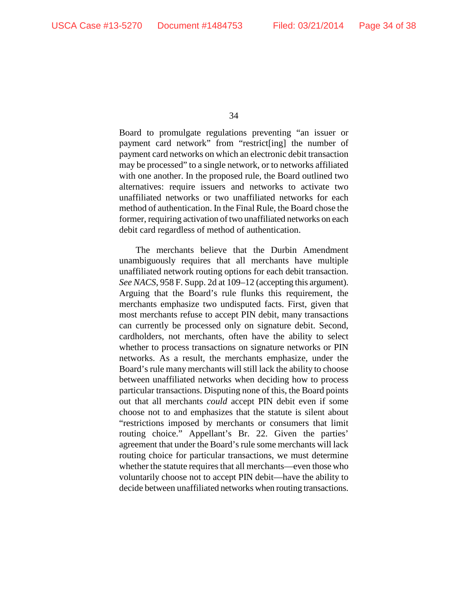Board to promulgate regulations preventing "an issuer or payment card network" from "restrict[ing] the number of payment card networks on which an electronic debit transaction may be processed" to a single network, or to networks affiliated with one another. In the proposed rule, the Board outlined two alternatives: require issuers and networks to activate two unaffiliated networks or two unaffiliated networks for each method of authentication. In the Final Rule, the Board chose the former, requiring activation of two unaffiliated networks on each debit card regardless of method of authentication.

The merchants believe that the Durbin Amendment unambiguously requires that all merchants have multiple unaffiliated network routing options for each debit transaction. *See NACS*, 958 F. Supp. 2d at 109–12 (accepting this argument). Arguing that the Board's rule flunks this requirement, the merchants emphasize two undisputed facts. First, given that most merchants refuse to accept PIN debit, many transactions can currently be processed only on signature debit. Second, cardholders, not merchants, often have the ability to select whether to process transactions on signature networks or PIN networks. As a result, the merchants emphasize, under the Board's rule many merchants will still lack the ability to choose between unaffiliated networks when deciding how to process particular transactions. Disputing none of this, the Board points out that all merchants *could* accept PIN debit even if some choose not to and emphasizes that the statute is silent about "restrictions imposed by merchants or consumers that limit routing choice." Appellant's Br. 22. Given the parties' agreement that under the Board's rule some merchants will lack routing choice for particular transactions, we must determine whether the statute requires that all merchants—even those who voluntarily choose not to accept PIN debit—have the ability to decide between unaffiliated networks when routing transactions.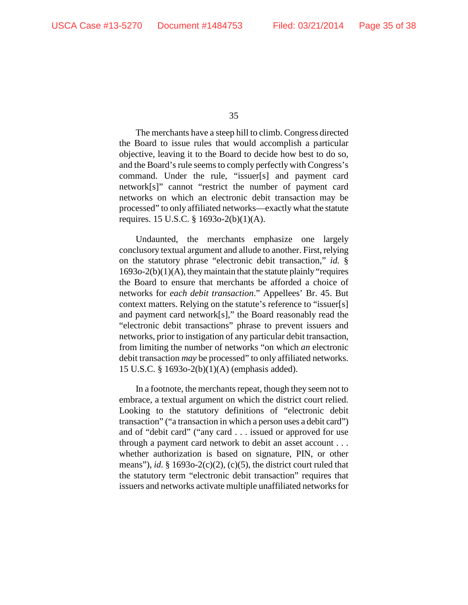The merchants have a steep hill to climb. Congress directed the Board to issue rules that would accomplish a particular objective, leaving it to the Board to decide how best to do so, and the Board's rule seems to comply perfectly with Congress's command. Under the rule, "issuer[s] and payment card network[s]" cannot "restrict the number of payment card networks on which an electronic debit transaction may be processed" to only affiliated networks—exactly what the statute requires. 15 U.S.C. § 1693o-2(b)(1)(A).

Undaunted, the merchants emphasize one largely conclusory textual argument and allude to another. First, relying on the statutory phrase "electronic debit transaction," *id.* §  $1693o-2(b)(1)(A)$ , they maintain that the statute plainly "requires" the Board to ensure that merchants be afforded a choice of networks for *each debit transaction*." Appellees' Br. 45. But context matters. Relying on the statute's reference to "issuer[s] and payment card network[s]," the Board reasonably read the "electronic debit transactions" phrase to prevent issuers and networks, prior to instigation of any particular debit transaction, from limiting the number of networks "on which *an* electronic debit transaction *may* be processed" to only affiliated networks. 15 U.S.C. § 1693o-2(b)(1)(A) (emphasis added).

In a footnote, the merchants repeat, though they seem not to embrace, a textual argument on which the district court relied. Looking to the statutory definitions of "electronic debit transaction" ("a transaction in which a person uses a debit card") and of "debit card" ("any card . . . issued or approved for use through a payment card network to debit an asset account . . . whether authorization is based on signature, PIN, or other means"), *id.*  $\S$  1693o-2(c)(2), (c)(5), the district court ruled that the statutory term "electronic debit transaction" requires that issuers and networks activate multiple unaffiliated networks for

<sup>35</sup>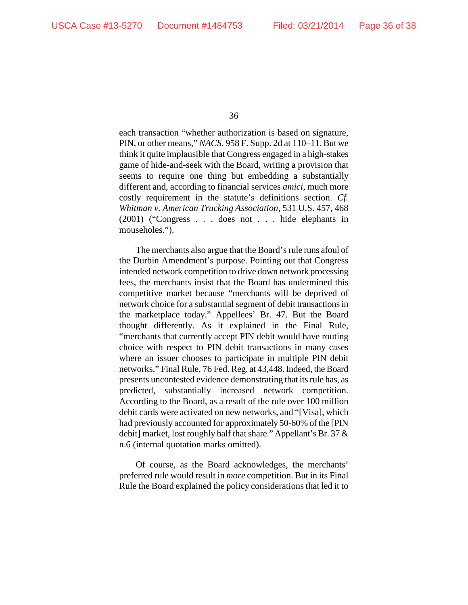each transaction "whether authorization is based on signature, PIN, or other means," *NACS*, 958 F. Supp. 2d at 110–11. But we think it quite implausible that Congress engaged in a high-stakes game of hide-and-seek with the Board, writing a provision that seems to require one thing but embedding a substantially different and, according to financial services *amici*, much more costly requirement in the statute's definitions section. *Cf. Whitman v. American Trucking Association*, 531 U.S. 457, 468 (2001) ("Congress . . . does not . . . hide elephants in mouseholes.").

The merchants also argue that the Board's rule runs afoul of the Durbin Amendment's purpose. Pointing out that Congress intended network competition to drive down network processing fees, the merchants insist that the Board has undermined this competitive market because "merchants will be deprived of network choice for a substantial segment of debit transactions in the marketplace today." Appellees' Br. 47. But the Board thought differently. As it explained in the Final Rule, "merchants that currently accept PIN debit would have routing choice with respect to PIN debit transactions in many cases where an issuer chooses to participate in multiple PIN debit networks." Final Rule, 76 Fed. Reg. at 43,448. Indeed, the Board presents uncontested evidence demonstrating that its rule has, as predicted, substantially increased network competition. According to the Board, as a result of the rule over 100 million debit cards were activated on new networks, and "[Visa], which had previously accounted for approximately 50-60% of the [PIN debit] market, lost roughly half that share." Appellant's Br. 37 & n.6 (internal quotation marks omitted).

Of course, as the Board acknowledges, the merchants' preferred rule would result in *more* competition. But in its Final Rule the Board explained the policy considerations that led it to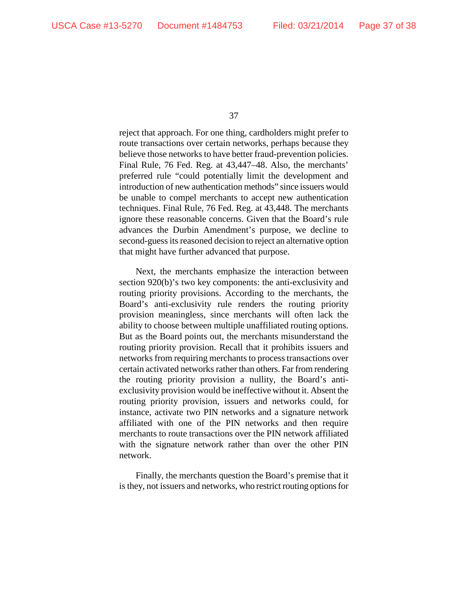reject that approach. For one thing, cardholders might prefer to route transactions over certain networks, perhaps because they believe those networks to have better fraud-prevention policies. Final Rule, 76 Fed. Reg. at 43,447–48. Also, the merchants' preferred rule "could potentially limit the development and introduction of new authentication methods" since issuers would be unable to compel merchants to accept new authentication techniques. Final Rule, 76 Fed. Reg. at 43,448. The merchants ignore these reasonable concerns. Given that the Board's rule advances the Durbin Amendment's purpose, we decline to second-guess its reasoned decision to reject an alternative option that might have further advanced that purpose.

Next, the merchants emphasize the interaction between section 920(b)'s two key components: the anti-exclusivity and routing priority provisions. According to the merchants, the Board's anti-exclusivity rule renders the routing priority provision meaningless, since merchants will often lack the ability to choose between multiple unaffiliated routing options. But as the Board points out, the merchants misunderstand the routing priority provision. Recall that it prohibits issuers and networks from requiring merchants to process transactions over certain activated networks rather than others. Far from rendering the routing priority provision a nullity, the Board's antiexclusivity provision would be ineffective without it. Absent the routing priority provision, issuers and networks could, for instance, activate two PIN networks and a signature network affiliated with one of the PIN networks and then require merchants to route transactions over the PIN network affiliated with the signature network rather than over the other PIN network.

Finally, the merchants question the Board's premise that it is they, not issuers and networks, who restrict routing options for